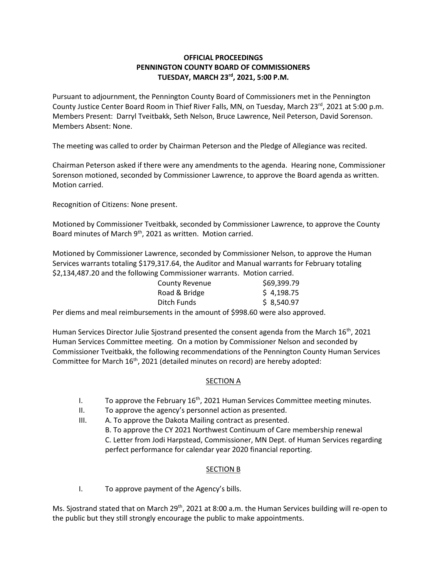## **OFFICIAL PROCEEDINGS PENNINGTON COUNTY BOARD OF COMMISSIONERS TUESDAY, MARCH 23rd , 2021, 5:00 P.M.**

Pursuant to adjournment, the Pennington County Board of Commissioners met in the Pennington County Justice Center Board Room in Thief River Falls, MN, on Tuesday, March 23<sup>rd</sup>, 2021 at 5:00 p.m. Members Present: Darryl Tveitbakk, Seth Nelson, Bruce Lawrence, Neil Peterson, David Sorenson. Members Absent: None.

The meeting was called to order by Chairman Peterson and the Pledge of Allegiance was recited.

Chairman Peterson asked if there were any amendments to the agenda. Hearing none, Commissioner Sorenson motioned, seconded by Commissioner Lawrence, to approve the Board agenda as written. Motion carried.

Recognition of Citizens: None present.

Motioned by Commissioner Tveitbakk, seconded by Commissioner Lawrence, to approve the County Board minutes of March 9<sup>th</sup>, 2021 as written. Motion carried.

Motioned by Commissioner Lawrence, seconded by Commissioner Nelson, to approve the Human Services warrants totaling \$179,317.64, the Auditor and Manual warrants for February totaling \$2,134,487.20 and the following Commissioner warrants. Motion carried.

| <b>County Revenue</b> | \$69,399.79                                     |  |
|-----------------------|-------------------------------------------------|--|
| Road & Bridge         | \$4,198.75                                      |  |
| Ditch Funds           | \$8,540.97                                      |  |
| .                     | $\cdot$ $\cdot$ $\cdot$ $\cdot$ $\cdot$ $\cdot$ |  |

Per diems and meal reimbursements in the amount of \$998.60 were also approved.

Human Services Director Julie Sjostrand presented the consent agenda from the March  $16<sup>th</sup>$ , 2021 Human Services Committee meeting. On a motion by Commissioner Nelson and seconded by Commissioner Tveitbakk, the following recommendations of the Pennington County Human Services Committee for March 16<sup>th</sup>, 2021 (detailed minutes on record) are hereby adopted:

## SECTION A

- I. To approve the February  $16<sup>th</sup>$ , 2021 Human Services Committee meeting minutes.
- II. To approve the agency's personnel action as presented.
- III. A. To approve the Dakota Mailing contract as presented.
	- B. To approve the CY 2021 Northwest Continuum of Care membership renewal C. Letter from Jodi Harpstead, Commissioner, MN Dept. of Human Services regarding perfect performance for calendar year 2020 financial reporting.

## SECTION B

I. To approve payment of the Agency's bills.

Ms. Sjostrand stated that on March 29<sup>th</sup>, 2021 at 8:00 a.m. the Human Services building will re-open to the public but they still strongly encourage the public to make appointments.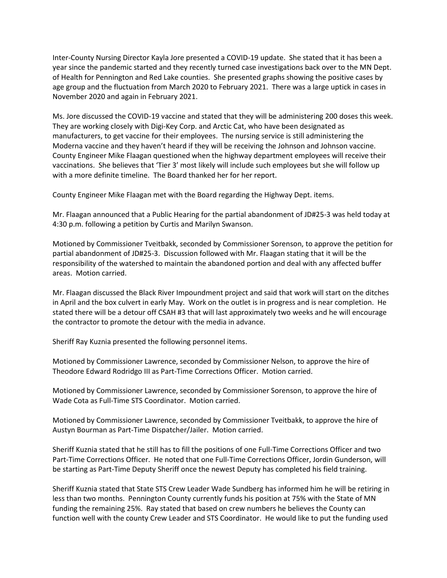Inter-County Nursing Director Kayla Jore presented a COVID-19 update. She stated that it has been a year since the pandemic started and they recently turned case investigations back over to the MN Dept. of Health for Pennington and Red Lake counties. She presented graphs showing the positive cases by age group and the fluctuation from March 2020 to February 2021. There was a large uptick in cases in November 2020 and again in February 2021.

Ms. Jore discussed the COVID-19 vaccine and stated that they will be administering 200 doses this week. They are working closely with Digi-Key Corp. and Arctic Cat, who have been designated as manufacturers, to get vaccine for their employees. The nursing service is still administering the Moderna vaccine and they haven't heard if they will be receiving the Johnson and Johnson vaccine. County Engineer Mike Flaagan questioned when the highway department employees will receive their vaccinations. She believes that 'Tier 3' most likely will include such employees but she will follow up with a more definite timeline. The Board thanked her for her report.

County Engineer Mike Flaagan met with the Board regarding the Highway Dept. items.

Mr. Flaagan announced that a Public Hearing for the partial abandonment of JD#25-3 was held today at 4:30 p.m. following a petition by Curtis and Marilyn Swanson.

Motioned by Commissioner Tveitbakk, seconded by Commissioner Sorenson, to approve the petition for partial abandonment of JD#25-3. Discussion followed with Mr. Flaagan stating that it will be the responsibility of the watershed to maintain the abandoned portion and deal with any affected buffer areas. Motion carried.

Mr. Flaagan discussed the Black River Impoundment project and said that work will start on the ditches in April and the box culvert in early May. Work on the outlet is in progress and is near completion. He stated there will be a detour off CSAH #3 that will last approximately two weeks and he will encourage the contractor to promote the detour with the media in advance.

Sheriff Ray Kuznia presented the following personnel items.

Motioned by Commissioner Lawrence, seconded by Commissioner Nelson, to approve the hire of Theodore Edward Rodridgo III as Part-Time Corrections Officer. Motion carried.

Motioned by Commissioner Lawrence, seconded by Commissioner Sorenson, to approve the hire of Wade Cota as Full-Time STS Coordinator. Motion carried.

Motioned by Commissioner Lawrence, seconded by Commissioner Tveitbakk, to approve the hire of Austyn Bourman as Part-Time Dispatcher/Jailer. Motion carried.

Sheriff Kuznia stated that he still has to fill the positions of one Full-Time Corrections Officer and two Part-Time Corrections Officer. He noted that one Full-Time Corrections Officer, Jordin Gunderson, will be starting as Part-Time Deputy Sheriff once the newest Deputy has completed his field training.

Sheriff Kuznia stated that State STS Crew Leader Wade Sundberg has informed him he will be retiring in less than two months. Pennington County currently funds his position at 75% with the State of MN funding the remaining 25%. Ray stated that based on crew numbers he believes the County can function well with the county Crew Leader and STS Coordinator. He would like to put the funding used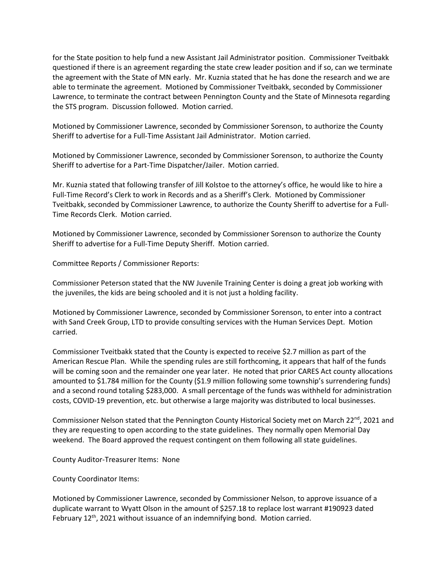for the State position to help fund a new Assistant Jail Administrator position. Commissioner Tveitbakk questioned if there is an agreement regarding the state crew leader position and if so, can we terminate the agreement with the State of MN early. Mr. Kuznia stated that he has done the research and we are able to terminate the agreement. Motioned by Commissioner Tveitbakk, seconded by Commissioner Lawrence, to terminate the contract between Pennington County and the State of Minnesota regarding the STS program. Discussion followed. Motion carried.

Motioned by Commissioner Lawrence, seconded by Commissioner Sorenson, to authorize the County Sheriff to advertise for a Full-Time Assistant Jail Administrator. Motion carried.

Motioned by Commissioner Lawrence, seconded by Commissioner Sorenson, to authorize the County Sheriff to advertise for a Part-Time Dispatcher/Jailer. Motion carried.

Mr. Kuznia stated that following transfer of Jill Kolstoe to the attorney's office, he would like to hire a Full-Time Record's Clerk to work in Records and as a Sheriff's Clerk. Motioned by Commissioner Tveitbakk, seconded by Commissioner Lawrence, to authorize the County Sheriff to advertise for a Full-Time Records Clerk. Motion carried.

Motioned by Commissioner Lawrence, seconded by Commissioner Sorenson to authorize the County Sheriff to advertise for a Full-Time Deputy Sheriff. Motion carried.

Committee Reports / Commissioner Reports:

Commissioner Peterson stated that the NW Juvenile Training Center is doing a great job working with the juveniles, the kids are being schooled and it is not just a holding facility.

Motioned by Commissioner Lawrence, seconded by Commissioner Sorenson, to enter into a contract with Sand Creek Group, LTD to provide consulting services with the Human Services Dept. Motion carried.

Commissioner Tveitbakk stated that the County is expected to receive \$2.7 million as part of the American Rescue Plan. While the spending rules are still forthcoming, it appears that half of the funds will be coming soon and the remainder one year later. He noted that prior CARES Act county allocations amounted to \$1.784 million for the County (\$1.9 million following some township's surrendering funds) and a second round totaling \$283,000. A small percentage of the funds was withheld for administration costs, COVID-19 prevention, etc. but otherwise a large majority was distributed to local businesses.

Commissioner Nelson stated that the Pennington County Historical Society met on March 22<sup>nd</sup>, 2021 and they are requesting to open according to the state guidelines. They normally open Memorial Day weekend. The Board approved the request contingent on them following all state guidelines.

County Auditor-Treasurer Items: None

County Coordinator Items:

Motioned by Commissioner Lawrence, seconded by Commissioner Nelson, to approve issuance of a duplicate warrant to Wyatt Olson in the amount of \$257.18 to replace lost warrant #190923 dated February 12<sup>th</sup>, 2021 without issuance of an indemnifying bond. Motion carried.